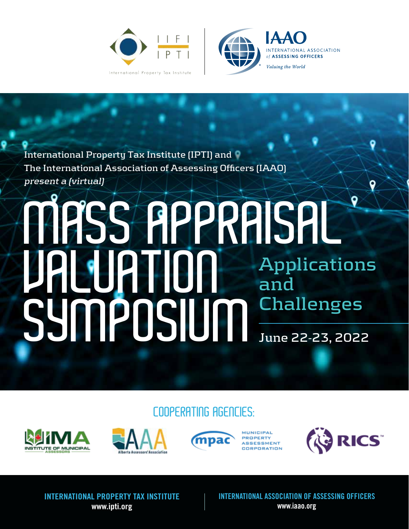



#### **International Property Tax Institute (IPTI) and The International Association of Assessing Officers (IAAO) present a (virtual)**

#### MASS APPRAISAL VALUATION SYMPOSIUM **Applications and Challenges June 22-23, 2022**

COOPERATING AGENCIES:







**MUNICIPAL PROPERTY ASSESSMENT** CORPORATION



INTERNATIONAL PROPERTY TAX INSTITUTE [www.ipti.org](https://www.ipti.org/)

INTERNATIONAL ASSOCIATION OF ASSESSING OFFICERS [www.iaao.org](https://www.iaao.org)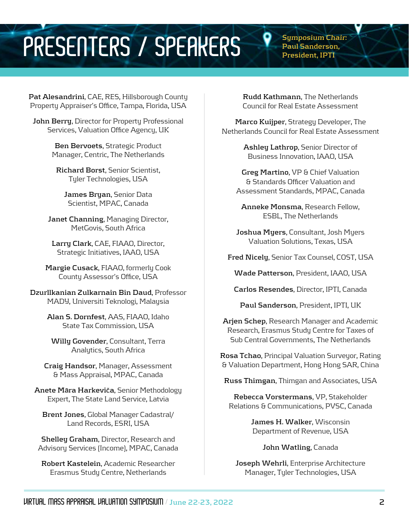#### PRESENTERS / SPEAKERS <sup>P Symposium Chair:</sup>

**Paul Sanderson, President, IPTI**

**Pat Alesandrini**, CAE, RES, Hillsborough County Property Appraiser's Office, Tampa, Florida, USA

**John Berry**, Director for Property Professional Services, Valuation Office Agency, UK

> **Ben Bervoets**, Strategic Product Manager, Centric, The Netherlands

**Richard Borst**, Senior Scientist, Tyler Technologies, USA

**James Bryan**, Senior Data Scientist, MPAC, Canada

**Janet Channing**, Managing Director, MetGovis, South Africa

**Larry Clark**, CAE, FIAAO, Director, Strategic Initiatives, IAAO, USA

**Margie Cusack**, FIAAO, formerly Cook County Assessor's Office, USA

**Dzurllkanian Zulkarnain Bin Daud**, Professor MADY, Universiti Teknologi, Malaysia

> **Alan S. Dornfest**, AAS, FIAAO, Idaho State Tax Commission, USA

**Willy Govender**, Consultant, Terra Analytics, South Africa

**Craig Handsor**, Manager, Assessment & Mass Appraisal, MPAC, Canada

**Anete M**ā**ra Harkevi**č**a**, Senior Methodology Expert, The State Land Service, Latvia

**Brent Jones**, Global Manager Cadastral/ Land Records, ESRI, USA

**Shelley Graham**, Director, Research and Advisory Services (Income), MPAC, Canada

**Robert Kastelein**, Academic Researcher Erasmus Study Centre, Netherlands

**Rudd Kathmann**, The Netherlands Council for Real Estate Assessment

**Marco Kuijper**, Strategy Developer, The Netherlands Council for Real Estate Assessment

> **Ashley Lathrop**, Senior Director of Business Innovation, IAAO, USA

**Greg Martino**, VP & Chief Valuation & Standards Officer Valuation and Assessment Standards, MPAC, Canada

**Anneke Monsma**, Research Fellow, ESBL, The Netherlands

**Joshua Myers**, Consultant, Josh Myers Valuation Solutions, Texas, USA

**Fred Nicely**, Senior Tax Counsel, COST, USA

**Wade Patterson**, President, IAAO, USA

**Carlos Resendes**, Director, IPTI, Canada

**Paul Sanderson**, President, IPTI, UK

**Arjen Schep**, Research Manager and Academic Research, Erasmus Study Centre for Taxes of Sub Central Governments, The Netherlands

**Rosa Tchao**, Principal Valuation Surveyor, Rating & Valuation Department, Hong Hong SAR, China

**Russ Thimgan**, Thimgan and Associates, USA

**Rebecca Vorstermans**, VP, Stakeholder Relations & Communications, PVSC, Canada

> **James H. Walker**, Wisconsin Department of Revenue, USA

> > **John Watling**, Canada

**Joseph Wehrli**, Enterprise Architecture Manager, Tyler Technologies, USA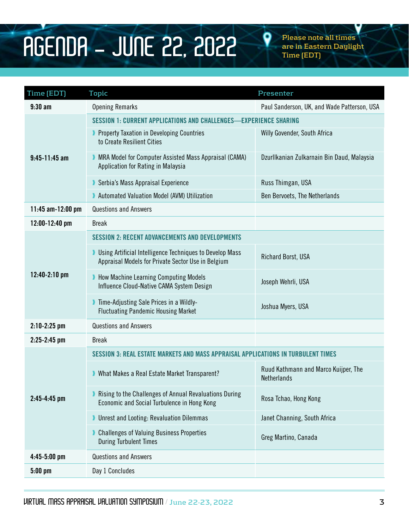## **AGENDA** - JUNE 22, 2022 <sup>P Please note all times **PGENDAylig**</sup>

**are in Eastern Daylight Time (EDT)**

| Time (EDT)          | <b>Topic</b>                                                                                                            | Presenter                                           |  |  |
|---------------------|-------------------------------------------------------------------------------------------------------------------------|-----------------------------------------------------|--|--|
| $9:30$ am           | <b>Opening Remarks</b>                                                                                                  | Paul Sanderson, UK, and Wade Patterson, USA         |  |  |
| $9:45-11:45$ am     | SESSION 1: CURRENT APPLICATIONS AND CHALLENGES-EXPERIENCE SHARING                                                       |                                                     |  |  |
|                     | <b>Property Taxation in Developing Countries</b><br>to Create Resilient Cities                                          | Willy Govender, South Africa                        |  |  |
|                     | MRA Model for Computer Assisted Mass Appraisal (CAMA)<br>Application for Rating in Malaysia                             | Dzurllkanian Zulkarnain Bin Daud, Malaysia          |  |  |
|                     | Serbia's Mass Appraisal Experience                                                                                      | Russ Thimgan, USA                                   |  |  |
|                     | Automated Valuation Model (AVM) Utilization                                                                             | Ben Bervoets, The Netherlands                       |  |  |
| 11:45 $am-12:00$ pm | <b>Questions and Answers</b>                                                                                            |                                                     |  |  |
| 12:00-12:40 pm      | <b>Break</b>                                                                                                            |                                                     |  |  |
| 12:40-2:10 pm       | <b>SESSION 2: RECENT ADVANCEMENTS AND DEVELOPMENTS</b>                                                                  |                                                     |  |  |
|                     | <b>I</b> Using Artificial Intelligence Techniques to Develop Mass<br>Appraisal Models for Private Sector Use in Belgium | Richard Borst, USA                                  |  |  |
|                     | How Machine Learning Computing Models<br>Influence Cloud-Native CAMA System Design                                      | Joseph Wehrli, USA                                  |  |  |
|                     | Time-Adjusting Sale Prices in a Wildly-<br><b>Fluctuating Pandemic Housing Market</b>                                   | Joshua Myers, USA                                   |  |  |
| $2:10-2:25$ pm      | <b>Questions and Answers</b>                                                                                            |                                                     |  |  |
| $2:25-2:45$ pm      | <b>Break</b>                                                                                                            |                                                     |  |  |
|                     | SESSION 3: REAL ESTATE MARKETS AND MASS APPRAISAL APPLICATIONS IN TURBULENT TIMES                                       |                                                     |  |  |
| $2:45 - 4:45$ pm    | Mhat Makes a Real Estate Market Transparent?                                                                            | Ruud Kathmann and Marco Kuijper, The<br>Netherlands |  |  |
|                     | Rising to the Challenges of Annual Revaluations During<br>Economic and Social Turbulence in Hong Kong                   | Rosa Tchao, Hong Kong                               |  |  |
|                     | <b>Unrest and Looting: Revaluation Dilemmas</b>                                                                         | Janet Channing, South Africa                        |  |  |
|                     | Challenges of Valuing Business Properties<br><b>During Turbulent Times</b>                                              | Greg Martino, Canada                                |  |  |
| $4:45-5:00$ pm      | <b>Questions and Answers</b>                                                                                            |                                                     |  |  |
| $5:00$ pm           | Day 1 Concludes                                                                                                         |                                                     |  |  |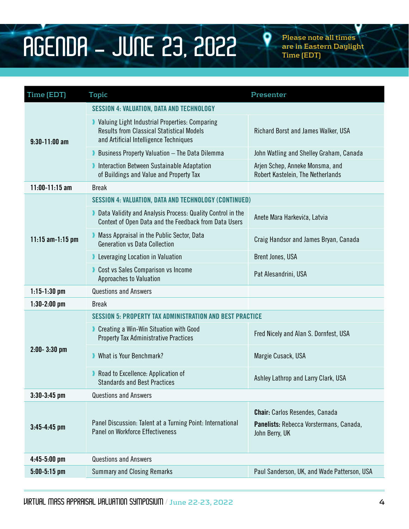### **AGENDA** - JUNE 23, 2022 <sup>P Please note all times</sup>

**are in Eastern Daylight Time (EDT)**

| Time (EDT)         | <b>Topic</b>                                                                                                                                 | Presenter                                                                                          |  |  |
|--------------------|----------------------------------------------------------------------------------------------------------------------------------------------|----------------------------------------------------------------------------------------------------|--|--|
| $9:30-11:00$ am    | <b>SESSION 4: VALUATION, DATA AND TECHNOLOGY</b>                                                                                             |                                                                                                    |  |  |
|                    | Valuing Light Industrial Properties: Comparing<br><b>Results from Classical Statistical Models</b><br>and Artificial Intelligence Techniques | Richard Borst and James Walker, USA                                                                |  |  |
|                    | Business Property Valuation - The Data Dilemma                                                                                               | John Watling and Shelley Graham, Canada                                                            |  |  |
|                    | Interaction Between Sustainable Adaptation<br>of Buildings and Value and Property Tax                                                        | Arjen Schep, Anneke Monsma, and<br>Robert Kastelein, The Netherlands                               |  |  |
| $11:00-11:15$ am   | <b>Break</b>                                                                                                                                 |                                                                                                    |  |  |
| 11:15 $am-1:15$ pm | <b>SESSION 4: VALUATION, DATA AND TECHNOLOGY (CONTINUED)</b>                                                                                 |                                                                                                    |  |  |
|                    | Data Validity and Analysis Process: Quality Control in the<br>Context of Open Data and the Feedback from Data Users                          | Anete Māra Harkeviča, Latvia                                                                       |  |  |
|                    | Mass Appraisal in the Public Sector, Data<br><b>Generation vs Data Collection</b>                                                            | Craig Handsor and James Bryan, Canada                                                              |  |  |
|                    | Leveraging Location in Valuation                                                                                                             | Brent Jones, USA                                                                                   |  |  |
|                    | Cost vs Sales Comparison vs Income<br>Approaches to Valuation                                                                                | Pat Alesandrini, USA                                                                               |  |  |
| $1:15-1:30$ pm     | <b>Questions and Answers</b>                                                                                                                 |                                                                                                    |  |  |
| $1:30-2:00$ pm     | <b>Break</b>                                                                                                                                 |                                                                                                    |  |  |
|                    | <b>SESSION 5: PROPERTY TAX ADMINISTRATION AND BEST PRACTICE</b>                                                                              |                                                                                                    |  |  |
| $2:00 - 3:30$ pm   | Creating a Win-Win Situation with Good<br><b>Property Tax Administrative Practices</b>                                                       | Fred Nicely and Alan S. Dornfest, USA                                                              |  |  |
|                    | What is Your Benchmark?                                                                                                                      | Margie Cusack, USA                                                                                 |  |  |
|                    | Road to Excellence: Application of<br><b>Standards and Best Practices</b>                                                                    | Ashley Lathrop and Larry Clark, USA                                                                |  |  |
| $3:30-3:45$ pm     | <b>Questions and Answers</b>                                                                                                                 |                                                                                                    |  |  |
| $3:45 - 4:45$ pm   | Panel Discussion: Talent at a Turning Point: International<br><b>Panel on Workforce Effectiveness</b>                                        | <b>Chair:</b> Carlos Resendes, Canada<br>Panelists: Rebecca Vorstermans, Canada,<br>John Berry, UK |  |  |
| $4:45-5:00$ pm     | <b>Questions and Answers</b>                                                                                                                 |                                                                                                    |  |  |
| $5:00-5:15$ pm     | <b>Summary and Closing Remarks</b>                                                                                                           | Paul Sanderson, UK, and Wade Patterson, USA                                                        |  |  |
|                    |                                                                                                                                              |                                                                                                    |  |  |